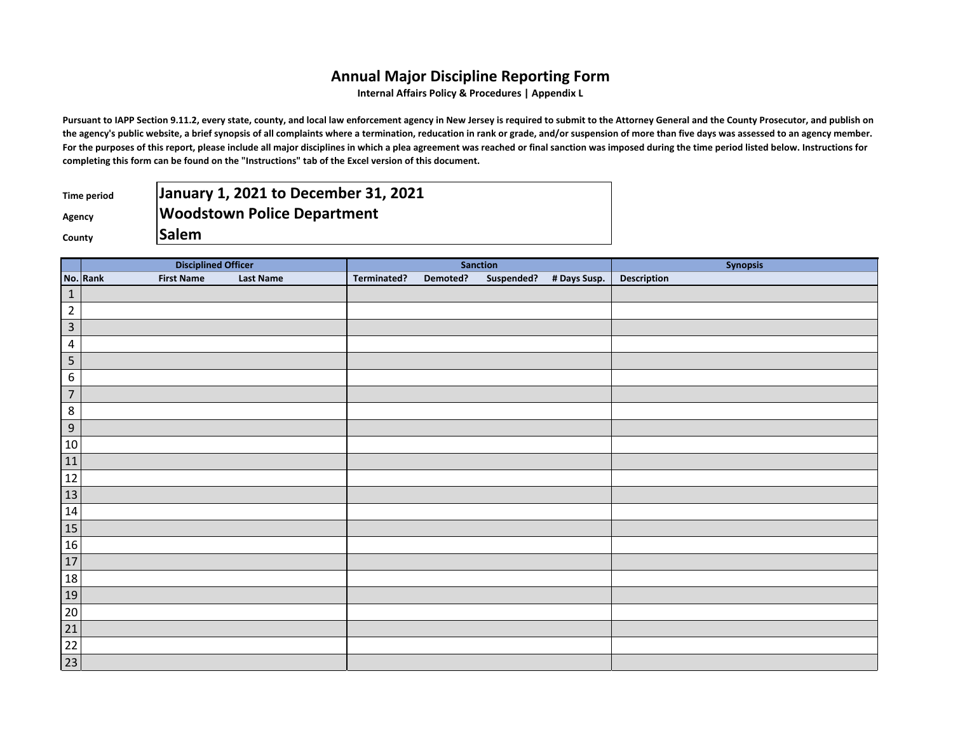## **Annual Major Discipline Reporting Form**

**Internal Affairs Policy & Procedures | Appendix L**

Pursuant to IAPP Section 9.11.2, every state, county, and local law enforcement agency in New Jersey is required to submit to the Attorney General and the County Prosecutor, and publish on the agency's public website, a brief synopsis of all complaints where a termination, reducation in rank or grade, and/or suspension of more than five days was assessed to an agency member. For the purposes of this report, please include all major disciplines in which a plea agreement was reached or final sanction was imposed during the time period listed below. Instructions for **completing this form can be found on the "Instructions" tab of the Excel version of this document.**

| Time period | January 1, 2021 to December 31, 2021 |
|-------------|--------------------------------------|
| Agency      | <b>Woodstown Police Department</b>   |
| County      | <b>Salem</b>                         |

|                                                                                                                           | <b>Disciplined Officer</b>    |                  | Sanction    |          |  |                         | <b>Synopsis</b> |
|---------------------------------------------------------------------------------------------------------------------------|-------------------------------|------------------|-------------|----------|--|-------------------------|-----------------|
|                                                                                                                           | No. Rank<br><b>First Name</b> | <b>Last Name</b> | Terminated? | Demoted? |  | Suspended? # Days Susp. | Description     |
| $\mathbf 1$                                                                                                               |                               |                  |             |          |  |                         |                 |
| $\overline{2}$                                                                                                            |                               |                  |             |          |  |                         |                 |
| $\overline{\mathbf{3}}$                                                                                                   |                               |                  |             |          |  |                         |                 |
| $\overline{4}$                                                                                                            |                               |                  |             |          |  |                         |                 |
| $\overline{\mathbf{5}}$                                                                                                   |                               |                  |             |          |  |                         |                 |
| $\overline{6}$                                                                                                            |                               |                  |             |          |  |                         |                 |
| $\overline{7}$                                                                                                            |                               |                  |             |          |  |                         |                 |
| $\,$ 8 $\,$                                                                                                               |                               |                  |             |          |  |                         |                 |
| $\overline{9}$                                                                                                            |                               |                  |             |          |  |                         |                 |
|                                                                                                                           |                               |                  |             |          |  |                         |                 |
| $\begin{array}{r} 10 \\ \hline 11 \\ \hline 12 \\ \hline 13 \\ \hline 14 \\ \hline 15 \\ \hline 16 \\ \hline \end{array}$ |                               |                  |             |          |  |                         |                 |
|                                                                                                                           |                               |                  |             |          |  |                         |                 |
|                                                                                                                           |                               |                  |             |          |  |                         |                 |
|                                                                                                                           |                               |                  |             |          |  |                         |                 |
|                                                                                                                           |                               |                  |             |          |  |                         |                 |
|                                                                                                                           |                               |                  |             |          |  |                         |                 |
| 17                                                                                                                        |                               |                  |             |          |  |                         |                 |
| 18                                                                                                                        |                               |                  |             |          |  |                         |                 |
| 19                                                                                                                        |                               |                  |             |          |  |                         |                 |
| $\frac{20}{21}$                                                                                                           |                               |                  |             |          |  |                         |                 |
|                                                                                                                           |                               |                  |             |          |  |                         |                 |
| $\frac{22}{23}$                                                                                                           |                               |                  |             |          |  |                         |                 |
|                                                                                                                           |                               |                  |             |          |  |                         |                 |